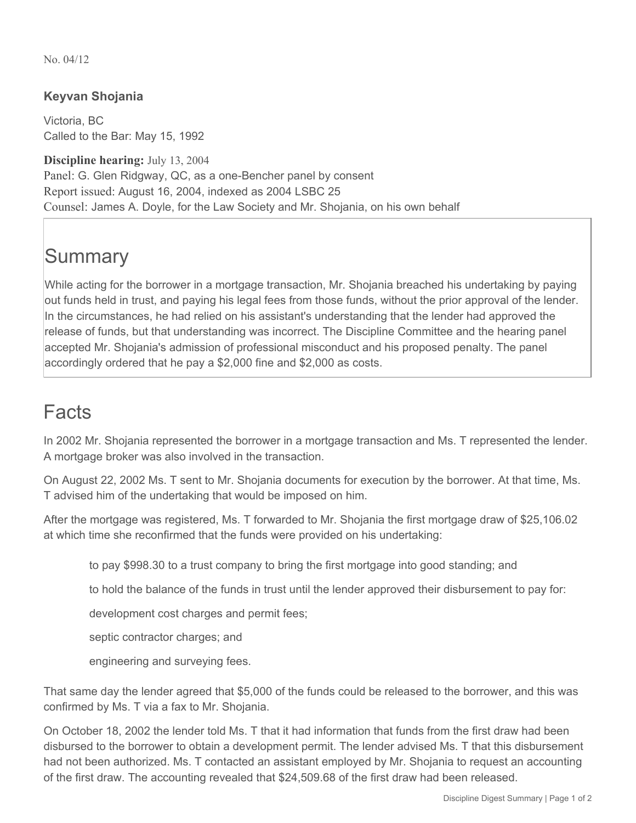No. 04/12

## **Keyvan Shojania**

Victoria, BC Called to the Bar: May 15, 1992

**Discipline hearing:** July 13, 2004 Panel: G. Glen Ridgway, QC, as a one-Bencher panel by consent Report issued: August 16, 2004, indexed as 2004 LSBC 25 Counsel: James A. Doyle, for the Law Society and Mr. Shojania, on his own behalf

## **Summary**

While acting for the borrower in a mortgage transaction, Mr. Shojania breached his undertaking by paying out funds held in trust, and paying his legal fees from those funds, without the prior approval of the lender. In the circumstances, he had relied on his assistant's understanding that the lender had approved the release of funds, but that understanding was incorrect. The Discipline Committee and the hearing panel accepted Mr. Shojania's admission of professional misconduct and his proposed penalty. The panel accordingly ordered that he pay a \$2,000 fine and \$2,000 as costs.

## Facts

In 2002 Mr. Shojania represented the borrower in a mortgage transaction and Ms. T represented the lender. A mortgage broker was also involved in the transaction.

On August 22, 2002 Ms. T sent to Mr. Shojania documents for execution by the borrower. At that time, Ms. T advised him of the undertaking that would be imposed on him.

After the mortgage was registered, Ms. T forwarded to Mr. Shojania the first mortgage draw of \$25,106.02 at which time she reconfirmed that the funds were provided on his undertaking:

to pay \$998.30 to a trust company to bring the first mortgage into good standing; and

to hold the balance of the funds in trust until the lender approved their disbursement to pay for:

development cost charges and permit fees;

septic contractor charges; and

engineering and surveying fees.

That same day the lender agreed that \$5,000 of the funds could be released to the borrower, and this was confirmed by Ms. T via a fax to Mr. Shojania.

On October 18, 2002 the lender told Ms. T that it had information that funds from the first draw had been disbursed to the borrower to obtain a development permit. The lender advised Ms. T that this disbursement had not been authorized. Ms. T contacted an assistant employed by Mr. Shojania to request an accounting of the first draw. The accounting revealed that \$24,509.68 of the first draw had been released.